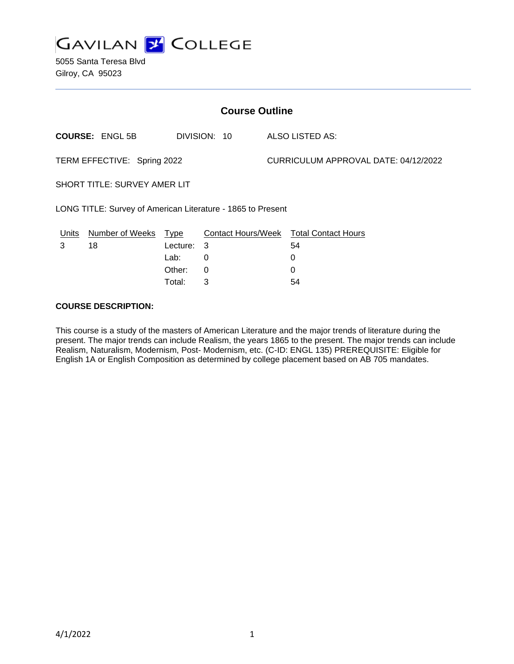

5055 Santa Teresa Blvd Gilroy, CA 95023

| <b>Course Outline</b>                                       |                        |                                              |                  |  |                                                              |  |
|-------------------------------------------------------------|------------------------|----------------------------------------------|------------------|--|--------------------------------------------------------------|--|
|                                                             | <b>COURSE: ENGL 5B</b> |                                              | DIVISION: 10     |  | <b>ALSO LISTED AS:</b>                                       |  |
| TERM EFFECTIVE: Spring 2022                                 |                        |                                              |                  |  | CURRICULUM APPROVAL DATE: 04/12/2022                         |  |
| <b>SHORT TITLE: SURVEY AMER LIT</b>                         |                        |                                              |                  |  |                                                              |  |
| LONG TITLE: Survey of American Literature - 1865 to Present |                        |                                              |                  |  |                                                              |  |
| Units<br>3                                                  | Number of Weeks<br>18  | Type<br>Lecture:<br>Lab:<br>Other:<br>Total: | 3<br>0<br>0<br>3 |  | Contact Hours/Week Total Contact Hours<br>54<br>0<br>0<br>54 |  |

### **COURSE DESCRIPTION:**

This course is a study of the masters of American Literature and the major trends of literature during the present. The major trends can include Realism, the years 1865 to the present. The major trends can include Realism, Naturalism, Modernism, Post- Modernism, etc. (C-ID: ENGL 135) PREREQUISITE: Eligible for English 1A or English Composition as determined by college placement based on AB 705 mandates.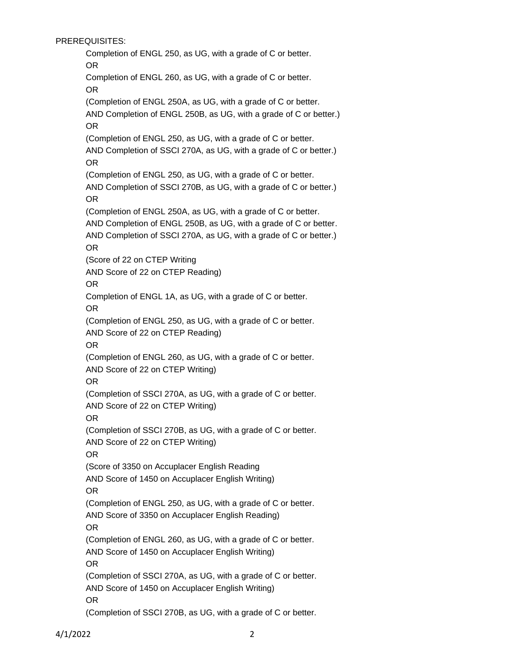PREREQUISITES:

Completion of ENGL 250, as UG, with a grade of C or better. OR Completion of ENGL 260, as UG, with a grade of C or better. OR (Completion of ENGL 250A, as UG, with a grade of C or better. AND Completion of ENGL 250B, as UG, with a grade of C or better.) OR (Completion of ENGL 250, as UG, with a grade of C or better. AND Completion of SSCI 270A, as UG, with a grade of C or better.) OR (Completion of ENGL 250, as UG, with a grade of C or better. AND Completion of SSCI 270B, as UG, with a grade of C or better.) OR (Completion of ENGL 250A, as UG, with a grade of C or better. AND Completion of ENGL 250B, as UG, with a grade of C or better. AND Completion of SSCI 270A, as UG, with a grade of C or better.) OR (Score of 22 on CTEP Writing AND Score of 22 on CTEP Reading) OR Completion of ENGL 1A, as UG, with a grade of C or better. OR (Completion of ENGL 250, as UG, with a grade of C or better. AND Score of 22 on CTEP Reading) OR (Completion of ENGL 260, as UG, with a grade of C or better. AND Score of 22 on CTEP Writing) OR (Completion of SSCI 270A, as UG, with a grade of C or better. AND Score of 22 on CTEP Writing) OR (Completion of SSCI 270B, as UG, with a grade of C or better. AND Score of 22 on CTEP Writing) OR (Score of 3350 on Accuplacer English Reading AND Score of 1450 on Accuplacer English Writing) OR (Completion of ENGL 250, as UG, with a grade of C or better. AND Score of 3350 on Accuplacer English Reading) OR (Completion of ENGL 260, as UG, with a grade of C or better. AND Score of 1450 on Accuplacer English Writing) OR (Completion of SSCI 270A, as UG, with a grade of C or better. AND Score of 1450 on Accuplacer English Writing) OR (Completion of SSCI 270B, as UG, with a grade of C or better.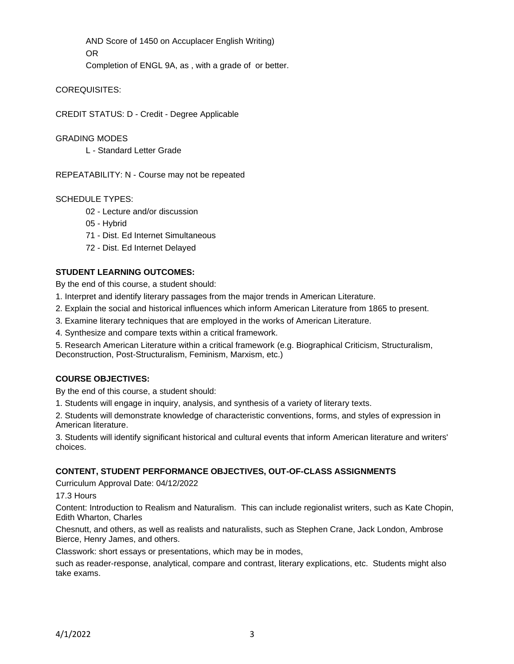AND Score of 1450 on Accuplacer English Writing) OR

Completion of ENGL 9A, as , with a grade of or better.

## COREQUISITES:

CREDIT STATUS: D - Credit - Degree Applicable

### GRADING MODES

L - Standard Letter Grade

REPEATABILITY: N - Course may not be repeated

## SCHEDULE TYPES:

- 02 Lecture and/or discussion
- 05 Hybrid
- 71 Dist. Ed Internet Simultaneous
- 72 Dist. Ed Internet Delayed

# **STUDENT LEARNING OUTCOMES:**

By the end of this course, a student should:

- 1. Interpret and identify literary passages from the major trends in American Literature.
- 2. Explain the social and historical influences which inform American Literature from 1865 to present.
- 3. Examine literary techniques that are employed in the works of American Literature.
- 4. Synthesize and compare texts within a critical framework.
- 5. Research American Literature within a critical framework (e.g. Biographical Criticism, Structuralism, Deconstruction, Post-Structuralism, Feminism, Marxism, etc.)

# **COURSE OBJECTIVES:**

By the end of this course, a student should:

1. Students will engage in inquiry, analysis, and synthesis of a variety of literary texts.

2. Students will demonstrate knowledge of characteristic conventions, forms, and styles of expression in American literature.

3. Students will identify significant historical and cultural events that inform American literature and writers' choices.

### **CONTENT, STUDENT PERFORMANCE OBJECTIVES, OUT-OF-CLASS ASSIGNMENTS**

Curriculum Approval Date: 04/12/2022

17.3 Hours

Content: Introduction to Realism and Naturalism. This can include regionalist writers, such as Kate Chopin, Edith Wharton, Charles

Chesnutt, and others, as well as realists and naturalists, such as Stephen Crane, Jack London, Ambrose Bierce, Henry James, and others.

Classwork: short essays or presentations, which may be in modes,

such as reader-response, analytical, compare and contrast, literary explications, etc. Students might also take exams.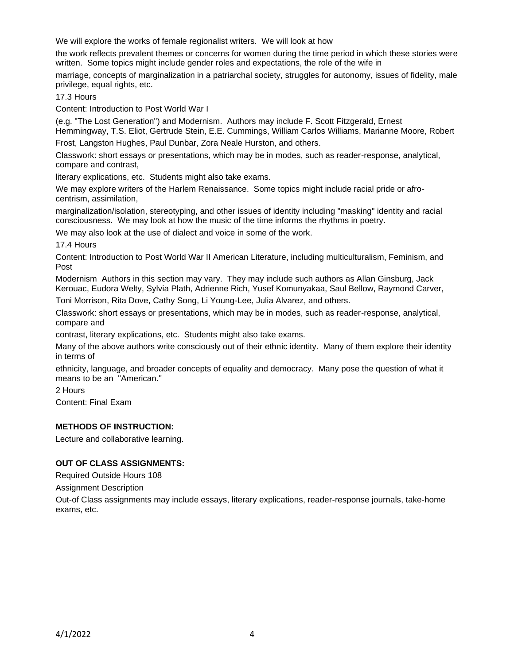We will explore the works of female regionalist writers. We will look at how

the work reflects prevalent themes or concerns for women during the time period in which these stories were written. Some topics might include gender roles and expectations, the role of the wife in

marriage, concepts of marginalization in a patriarchal society, struggles for autonomy, issues of fidelity, male privilege, equal rights, etc.

17.3 Hours

Content: Introduction to Post World War I

(e.g. "The Lost Generation") and Modernism. Authors may include F. Scott Fitzgerald, Ernest

Hemmingway, T.S. Eliot, Gertrude Stein, E.E. Cummings, William Carlos Williams, Marianne Moore, Robert Frost, Langston Hughes, Paul Dunbar, Zora Neale Hurston, and others.

Classwork: short essays or presentations, which may be in modes, such as reader-response, analytical, compare and contrast,

literary explications, etc. Students might also take exams.

We may explore writers of the Harlem Renaissance. Some topics might include racial pride or afrocentrism, assimilation,

marginalization/isolation, stereotyping, and other issues of identity including "masking" identity and racial consciousness. We may look at how the music of the time informs the rhythms in poetry.

We may also look at the use of dialect and voice in some of the work.

17.4 Hours

Content: Introduction to Post World War II American Literature, including multiculturalism, Feminism, and Post

Modernism Authors in this section may vary. They may include such authors as Allan Ginsburg, Jack Kerouac, Eudora Welty, Sylvia Plath, Adrienne Rich, Yusef Komunyakaa, Saul Bellow, Raymond Carver,

Toni Morrison, Rita Dove, Cathy Song, Li Young-Lee, Julia Alvarez, and others.

Classwork: short essays or presentations, which may be in modes, such as reader-response, analytical, compare and

contrast, literary explications, etc. Students might also take exams.

Many of the above authors write consciously out of their ethnic identity. Many of them explore their identity in terms of

ethnicity, language, and broader concepts of equality and democracy. Many pose the question of what it means to be an "American."

2 Hours

Content: Final Exam

# **METHODS OF INSTRUCTION:**

Lecture and collaborative learning.

# **OUT OF CLASS ASSIGNMENTS:**

Required Outside Hours 108

Assignment Description

Out-of Class assignments may include essays, literary explications, reader-response journals, take-home exams, etc.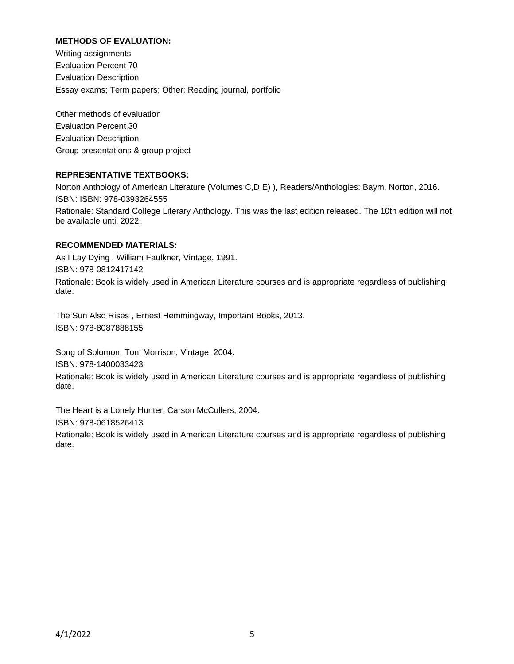### **METHODS OF EVALUATION:**

Writing assignments Evaluation Percent 70 Evaluation Description Essay exams; Term papers; Other: Reading journal, portfolio

Other methods of evaluation Evaluation Percent 30 Evaluation Description Group presentations & group project

### **REPRESENTATIVE TEXTBOOKS:**

Norton Anthology of American Literature (Volumes C,D,E) ), Readers/Anthologies: Baym, Norton, 2016. ISBN: ISBN: 978-0393264555 Rationale: Standard College Literary Anthology. This was the last edition released. The 10th edition will not

## **RECOMMENDED MATERIALS:**

be available until 2022.

As I Lay Dying , William Faulkner, Vintage, 1991. ISBN: 978-0812417142 Rationale: Book is widely used in American Literature courses and is appropriate regardless of publishing date.

The Sun Also Rises , Ernest Hemmingway, Important Books, 2013. ISBN: 978-8087888155

Song of Solomon, Toni Morrison, Vintage, 2004. ISBN: 978-1400033423 Rationale: Book is widely used in American Literature courses and is appropriate regardless of publishing date.

The Heart is a Lonely Hunter, Carson McCullers, 2004. ISBN: 978-0618526413 Rationale: Book is widely used in American Literature courses and is appropriate regardless of publishing date.